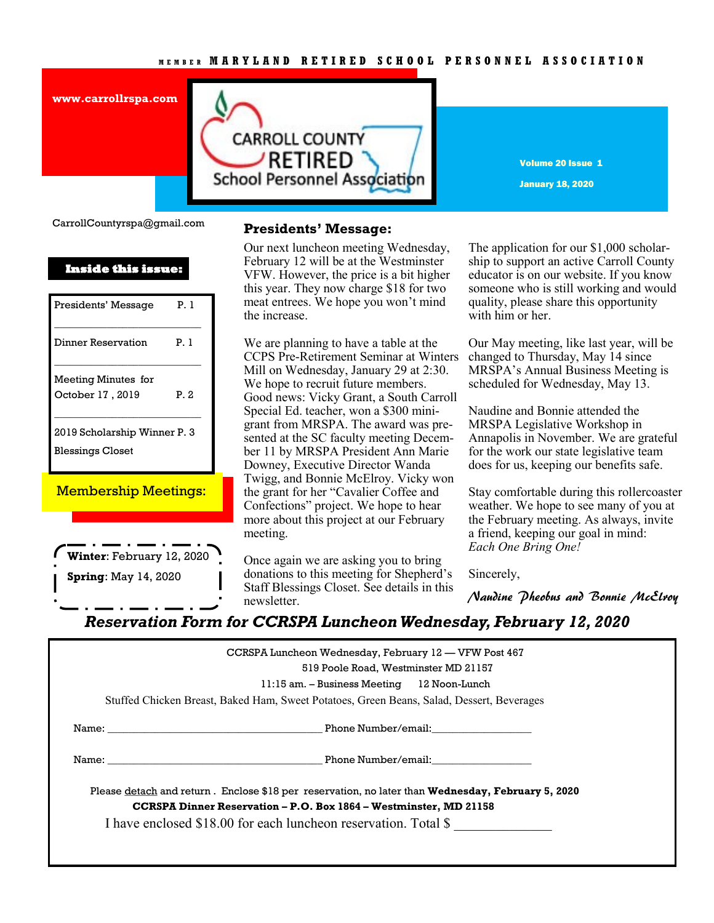### **M E M B E R M A R Y L A N D R E T I R E D S C H O O L P E R S O N N E L A S S O C I A T I O N**





Volume 20 Issue 1 January 18, 2020

CarrollCountyrspa@gmail.com

| Inside this issue:           |      |  |
|------------------------------|------|--|
| Presidents' Message          | P. 1 |  |
| Dinner Reservation           | P 1  |  |
| Meeting Minutes for          |      |  |
| October 17, 2019             | P 2  |  |
| 2019 Scholarship Winner P. 3 |      |  |
| <b>Blessings Closet</b>      |      |  |

Membership Meetings:

**Winter**: February 12, 2020 **Spring**: May 14, 2020

### **Presidents' Message:**

February 12 will be at the Westminster Our next luncheon meeting Wednesday, VFW. However, the price is a bit higher this year. They now charge \$18 for two meat entrees. We hope you won't mind the increase.

We are planning to have a table at the CCPS Pre-Retirement Seminar at Winters Mill on Wednesday, January 29 at 2:30. We hope to recruit future members. Good news: Vicky Grant, a South Carroll Special Ed. teacher, won a \$300 minigrant from MRSPA. The award was presented at the SC faculty meeting December 11 by MRSPA President Ann Marie Downey, Executive Director Wanda Twigg, and Bonnie McElroy. Vicky won the grant for her "Cavalier Coffee and Confections" project. We hope to hear more about this project at our February meeting.

Once again we are asking you to bring donations to this meeting for Shepherd's Staff Blessings Closet. See details in this newsletter.

The application for our \$1,000 scholarship to support an active Carroll County educator is on our website. If you know someone who is still working and would quality, please share this opportunity with him or her.

Our May meeting, like last year, will be changed to Thursday, May 14 since MRSPA's Annual Business Meeting is scheduled for Wednesday, May 13.

Naudine and Bonnie attended the MRSPA Legislative Workshop in Annapolis in November. We are grateful for the work our state legislative team does for us, keeping our benefits safe.

Stay comfortable during this rollercoaster weather. We hope to see many of you at the February meeting. As always, invite a friend, keeping our goal in mind: *Each One Bring One!*

Sincerely,

Naudine Pheobus and Bonnie McElroy

*Reservation Form for CCRSPA Luncheon Wednesday, February 12, 2020*

| CCRSPA Luncheon Wednesday, February 12 — VFW Post 467<br>519 Poole Road, Westminster MD 21157                  |
|----------------------------------------------------------------------------------------------------------------|
| 11:15 am. - Business Meeting 12 Noon-Lunch                                                                     |
| Stuffed Chicken Breast, Baked Ham, Sweet Potatoes, Green Beans, Salad, Dessert, Beverages                      |
| Name: Name: Name: Name: Name: Name: Name: Name: Name: Name: Name: Name: Name: Name: Name: Name: Name: Name: Na |
|                                                                                                                |
| Please detach and return. Enclose \$18 per reservation, no later than <b>Wednesday, February 5, 2020</b>       |
| <b>CCRSPA Dinner Reservation - P.O. Box 1864 - Westminster, MD 21158</b>                                       |
| I have enclosed \$18.00 for each luncheon reservation. Total \$                                                |
|                                                                                                                |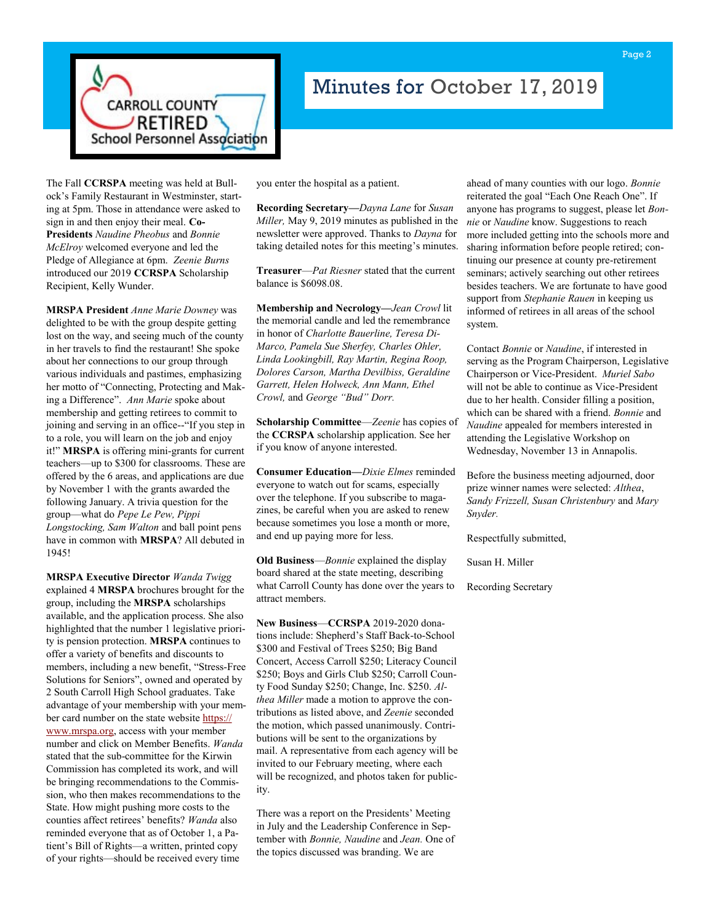

# Minutes for October 17, 2019

The Fall **CCRSPA** meeting was held at Bullock's Family Restaurant in Westminster, starting at 5pm. Those in attendance were asked to sign in and then enjoy their meal. **Co-Presidents** *Naudine Pheobus* and *Bonnie McElroy* welcomed everyone and led the Pledge of Allegiance at 6pm. *Zeenie Burns*  introduced our 2019 **CCRSPA** Scholarship Recipient, Kelly Wunder.

**MRSPA President** *Anne Marie Downey* was delighted to be with the group despite getting lost on the way, and seeing much of the county in her travels to find the restaurant! She spoke about her connections to our group through various individuals and pastimes, emphasizing her motto of "Connecting, Protecting and Making a Difference". *Ann Marie* spoke about membership and getting retirees to commit to joining and serving in an office--"If you step in to a role, you will learn on the job and enjoy it!" **MRSPA** is offering mini-grants for current teachers—up to \$300 for classrooms. These are offered by the 6 areas, and applications are due by November 1 with the grants awarded the following January. A trivia question for the group—what do *Pepe Le Pew, Pippi Longstocking, Sam Walton* and ball point pens have in common with **MRSPA**? All debuted in 1945!

**MRSPA Executive Director** *Wanda Twigg*  explained 4 **MRSPA** brochures brought for the group, including the **MRSPA** scholarships available, and the application process. She also highlighted that the number 1 legislative priority is pension protection. **MRSPA** continues to offer a variety of benefits and discounts to members, including a new benefit, "Stress-Free Solutions for Seniors", owned and operated by 2 South Carroll High School graduates. Take advantage of your membership with your member card number on the state website [https://](https://www.mrspa.org) [www.mrspa.org,](https://www.mrspa.org) access with your member number and click on Member Benefits. *Wanda* stated that the sub-committee for the Kirwin Commission has completed its work, and will be bringing recommendations to the Commission, who then makes recommendations to the State. How might pushing more costs to the counties affect retirees' benefits? *Wanda* also reminded everyone that as of October 1, a Patient's Bill of Rights—a written, printed copy of your rights—should be received every time

you enter the hospital as a patient.

**Recording Secretary—***Dayna Lane* for *Susan Miller,* May 9, 2019 minutes as published in the newsletter were approved. Thanks to *Dayna* for taking detailed notes for this meeting's minutes.

**Treasurer**—*Pat Riesner* stated that the current balance is \$6098.08.

**Membership and Necrology—***Jean Crowl* lit the memorial candle and led the remembrance in honor of *Charlotte Bauerline, Teresa Di-Marco, Pamela Sue Sherfey, Charles Ohler, Linda Lookingbill, Ray Martin, Regina Roop, Dolores Carson, Martha Devilbiss, Geraldine Garrett, Helen Holweck, Ann Mann, Ethel Crowl,* and *George "Bud" Dorr.*

**Scholarship Committee**—*Zeenie* has copies of the **CCRSPA** scholarship application. See her if you know of anyone interested.

**Consumer Education—***Dixie Elmes* reminded everyone to watch out for scams, especially over the telephone. If you subscribe to magazines, be careful when you are asked to renew because sometimes you lose a month or more, and end up paying more for less.

**Old Business**—*Bonnie* explained the display board shared at the state meeting, describing what Carroll County has done over the years to attract members.

**New Business**—**CCRSPA** 2019-2020 donations include: Shepherd's Staff Back-to-School \$300 and Festival of Trees \$250; Big Band Concert, Access Carroll \$250; Literacy Council \$250; Boys and Girls Club \$250; Carroll County Food Sunday \$250; Change, Inc. \$250. *Althea Miller* made a motion to approve the contributions as listed above, and *Zeenie* seconded the motion, which passed unanimously. Contributions will be sent to the organizations by mail. A representative from each agency will be invited to our February meeting, where each will be recognized, and photos taken for publicity.

There was a report on the Presidents' Meeting in July and the Leadership Conference in September with *Bonnie, Naudine* and *Jean.* One of the topics discussed was branding. We are

ahead of many counties with our logo. *Bonnie*  reiterated the goal "Each One Reach One". If anyone has programs to suggest, please let *Bonnie* or *Naudine* know. Suggestions to reach more included getting into the schools more and sharing information before people retired; continuing our presence at county pre-retirement seminars; actively searching out other retirees besides teachers. We are fortunate to have good support from *Stephanie Rauen* in keeping us informed of retirees in all areas of the school system.

Contact *Bonnie* or *Naudine*, if interested in serving as the Program Chairperson, Legislative Chairperson or Vice-President. *Muriel Sabo*  will not be able to continue as Vice-President due to her health. Consider filling a position, which can be shared with a friend. *Bonnie* and *Naudine* appealed for members interested in attending the Legislative Workshop on Wednesday, November 13 in Annapolis.

Before the business meeting adjourned, door prize winner names were selected: *Althea*, *Sandy Frizzell, Susan Christenbury* and *Mary Snyder.* 

Respectfully submitted,

Susan H. Miller

Recording Secretary